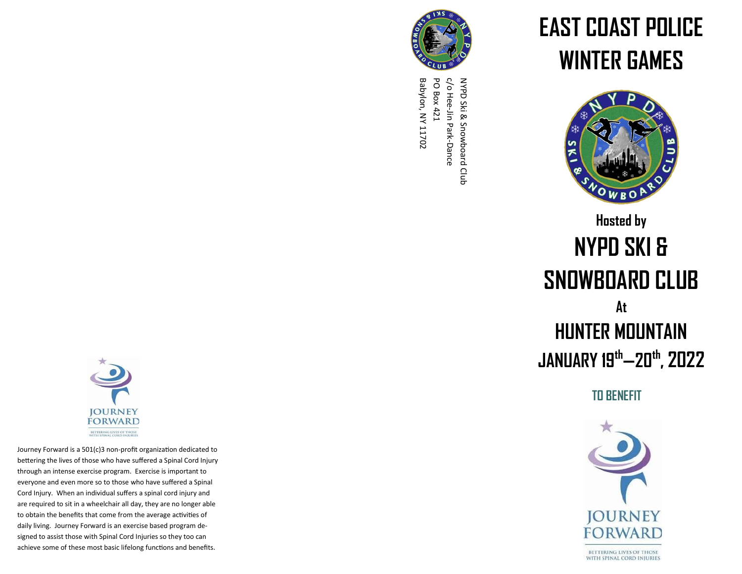

c/o Hee-Jin Park-Dance Babylon, NY 11702 PO Box 421 NYPD Ski & Snowboard Club Babylon, NY 11702 PO Box 421 NYPD Ski & Snowboard Club<br>C/o Hee-Jin Park-Dance

## **EAST COAST POLICE WINTER GAMES**



## **Hosted by NYPD SKI & SNOWBOARD CLUB At HUNTER MOUNTAIN JANUARY 19th —20th , 2022**

**TO BENEFIT**





Journey Forward is a 501(c)3 non -profit organization dedicated to bettering the lives of those who have suffered a Spinal Cord Injury through an intense exercise program. Exercise is important to everyone and even more so to those who have suffered a Spinal Cord Injury. When an individual suffers a spinal cord injury and are required to sit in a wheelchair all day, they are no longer able to obtain the benefits that come from the average activities of daily living. Journey Forward is an exercise based program designed to assist those with Spinal Cord Injuries so they too can achieve some of these most basic lifelong functions and benefits.